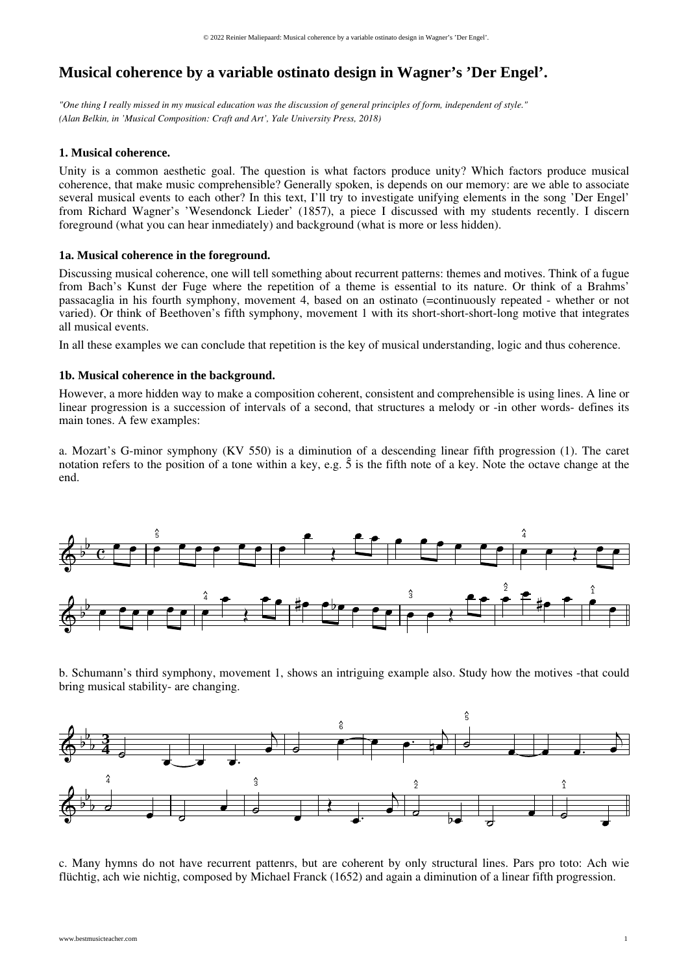# **Musical coherence by a variable ostinato design in Wagner's 'Der Engel'.**

*"One thing I really missed in my musical education was the discussion of general principles of form, independent of style." (Alan Belkin, in 'Musical Composition: Craft and Art', Yale University Press, 2018)*

## **1. Musical coherence.**

Unity is a common aesthetic goal. The question is what factors produce unity? Which factors produce musical coherence, that make music comprehensible? Generally spoken, is depends on our memory: are we able to associate several musical events to each other? In this text, I'll try to investigate unifying elements in the song 'Der Engel' from Richard Wagner's 'Wesendonck Lieder' (1857), a piece I discussed with my students recently. I discern foreground (what you can hear inmediately) and background (what is more or less hidden).

## **1a. Musical coherence in the foreground.**

Discussing musical coherence, one will tell something about recurrent patterns: themes and motives. Think of a fugue from Bach's Kunst der Fuge where the repetition of a theme is essential to its nature. Or think of a Brahms' passacaglia in his fourth symphony, movement 4, based on an ostinato (=continuously repeated - whether or not varied). Or think of Beethoven's fifth symphony, movement 1 with its short-short-short-long motive that integrates all musical events.

In all these examples we can conclude that repetition is the key of musical understanding, logic and thus coherence.

# **1b. Musical coherence in the background.**

However, a more hidden way to make a composition coherent, consistent and comprehensible is using lines. A line or linear progression is a succession of intervals of a second, that structures a melody or -in other words- defines its main tones. A few examples:

a. Mozart's G-minor symphony (KV 550) is a diminution of a descending linear fifth progression (1). The caret notation refers to the position of a tone within a key, e.g.  $\hat{S}$  is the fifth note of a key. Note the octave change at the end.



b. Schumann's third symphony, movement 1, shows an intriguing example also. Study how the motives -that could bring musical stability- are changing.



c. Many hymns do not have recurrent pattenrs, but are coherent by only structural lines. Pars pro toto: Ach wie flüchtig, ach wie nichtig, composed by Michael Franck (1652) and again a diminution of a linear fifth progression.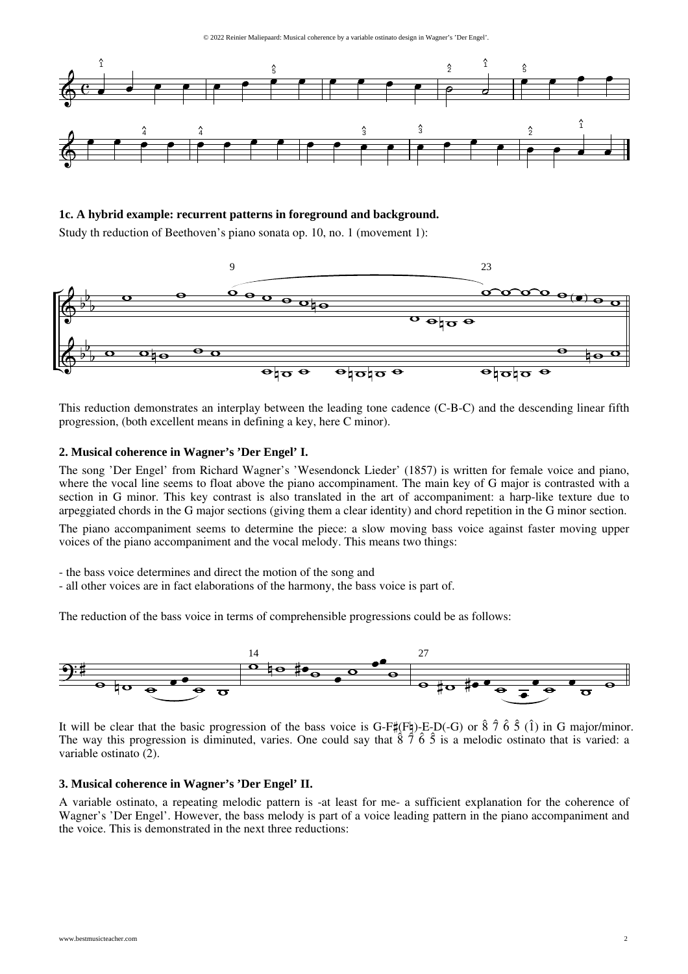© 2022 Reinier Maliepaard: Musical coherence by a variable ostinato design in Wagner's 'Der Engel'.



**1c. A hybrid example: recurrent patterns in foreground and background.**

Study th reduction of Beethoven's piano sonata op. 10, no. 1 (movement 1):



This reduction demonstrates an interplay between the leading tone cadence (C-B-C) and the descending linear fifth progression, (both excellent means in defining a key, here C minor).

### **2. Musical coherence in Wagner's 'Der Engel' I.**

The song 'Der Engel' from Richard Wagner's 'Wesendonck Lieder' (1857) is written for female voice and piano, where the vocal line seems to float above the piano accompinament. The main key of G major is contrasted with a section in G minor. This key contrast is also translated in the art of accompaniment: a harp-like texture due to arpeggiated chords in the G major sections (giving them a clear identity) and chord repetition in the G minor section.

The piano accompaniment seems to determine the piece: a slow moving bass voice against faster moving upper voices of the piano accompaniment and the vocal melody. This means two things:

- the bass voice determines and direct the motion of the song and
- all other voices are in fact elaborations of the harmony, the bass voice is part of.

The reduction of the bass voice in terms of comprehensible progressions could be as follows:



It will be clear that the basic progression of the bass voice is G-F#(F4)-E-D(-G) or  $\hat{8}$   $\hat{7}$   $\hat{6}$   $\hat{5}$  (1) in G major/minor. The way this progression is diminuted, varies. One could say that  $\hat{8}$   $\hat{7}$   $\hat{6}$   $\hat{5}$  is a melodic ostinato that is varied: a variable ostinato (2).

#### **3. Musical coherence in Wagner's 'Der Engel' II.**

A variable ostinato, a repeating melodic pattern is -at least for me- a sufficient explanation for the coherence of Wagner's 'Der Engel'. However, the bass melody is part of a voice leading pattern in the piano accompaniment and the voice. This is demonstrated in the next three reductions: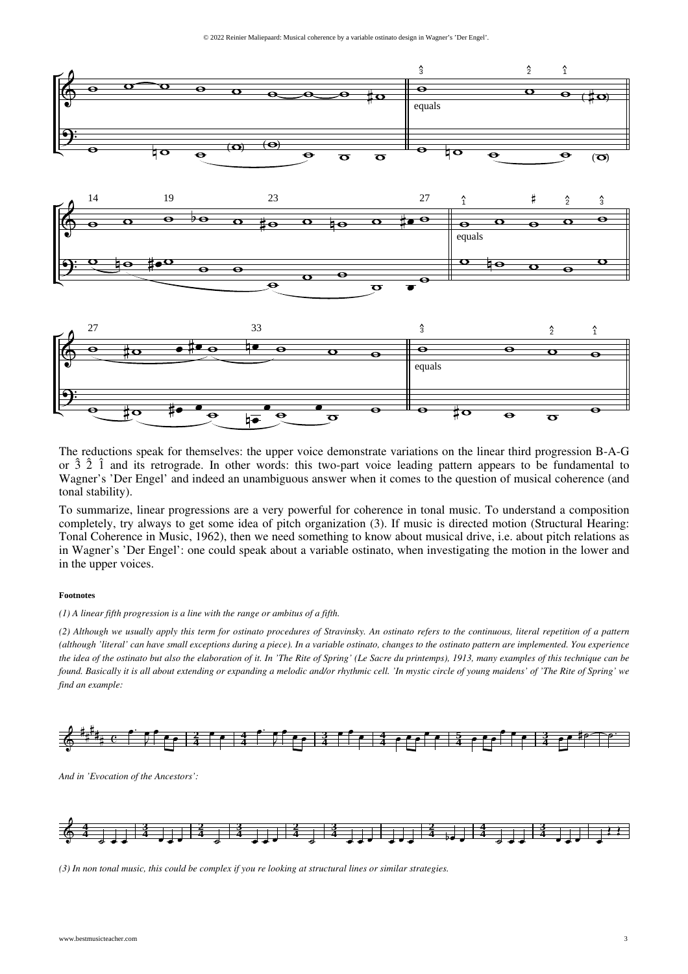

The reductions speak for themselves: the upper voice demonstrate variations on the linear third progression B-A-G or  $\hat{3}$   $\hat{2}$   $\hat{1}$  and its retrograde. In other words: this two-part voice leading pattern appears to be fundamental to Wagner's 'Der Engel' and indeed an unambiguous answer when it comes to the question of musical coherence (and tonal stability).

To summarize, linear progressions are a very powerful for coherence in tonal music. To understand a composition completely, try always to get some idea of pitch organization (3). If music is directed motion (Structural Hearing: Tonal Coherence in Music, 1962), then we need something to know about musical drive, i.e. about pitch relations as in Wagner's 'Der Engel': one could speak about a variable ostinato, when investigating the motion in the lower and in the upper voices.

#### **Footnotes**

*(1) A linear fifth progression is a line with the range or ambitus of a fifth.*

*(2) Although we usually apply this term for ostinato procedures of Stravinsky. An ostinato refers to the continuous, literal repetition of a pattern (although 'literal' can have small exceptions during a piece). In a variable ostinato, changes to the ostinato pattern are implemented. You experience the idea of the ostinato but also the elaboration of it. In 'The Rite of Spring' (Le Sacre du printemps), 1913, many examples of this technique can be found. Basically it is all about extending or expanding a melodic and/or rhythmic cell. 'In mystic circle of young maidens' of 'The Rite of Spring' we find an example:*



*And in 'Evocation of the Ancestors':*



*(3) In non tonal music, this could be complex if youre looking at structural lines or similar strategies.*